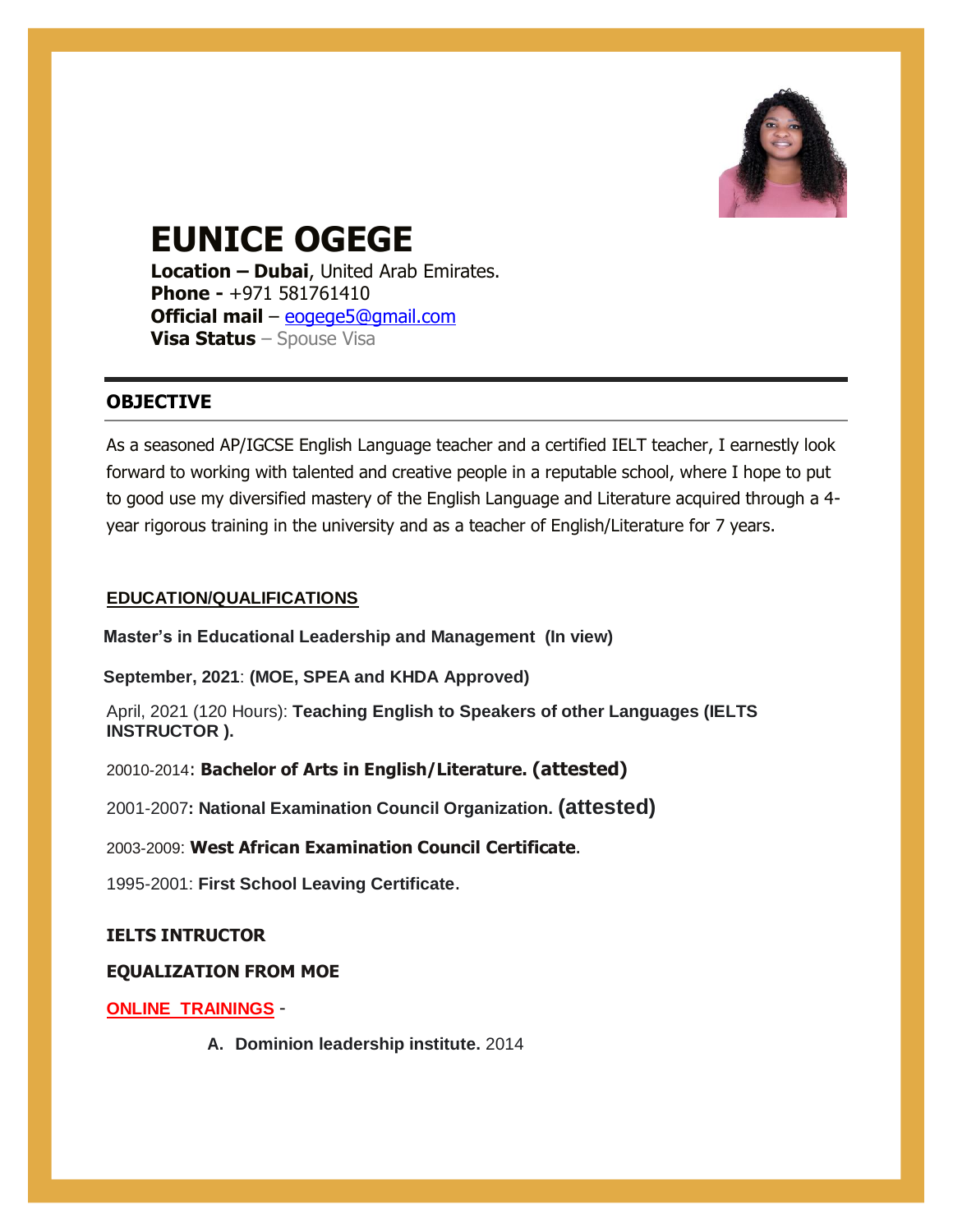

# **EUNICE OGEGE**

**Location – Dubai**, United Arab Emirates. **Phone -** +971 581761410 **Official mail** – [eogege5@gmail.com](mailto:eogeg5@gmail.com) **Visa Status** – Spouse Visa

# **OBJECTIVE**

As a seasoned AP/IGCSE English Language teacher and a certified IELT teacher, I earnestly look forward to working with talented and creative people in a reputable school, where I hope to put to good use my diversified mastery of the English Language and Literature acquired through a 4 year rigorous training in the university and as a teacher of English/Literature for 7 years.

# **EDUCATION/QUALIFICATIONS**

**Master's in Educational Leadership and Management (In view)**

**September, 2021**: **(MOE, SPEA and KHDA Approved)** 

April, 2021 (120 Hours): **Teaching English to Speakers of other Languages (IELTS INSTRUCTOR ).**

20010-2014: **Bachelor of Arts in English/Literature. (attested)**

2001-2007**: National Examination Council Organization. (attested)**

2003-2009: **West African Examination Council Certificate**.

1995-2001: **First School Leaving Certificate**.

# **IELTS INTRUCTOR**

# **EQUALIZATION FROM MOE**

# **ONLINE TRAININGS** -

**A. Dominion leadership institute.** 2014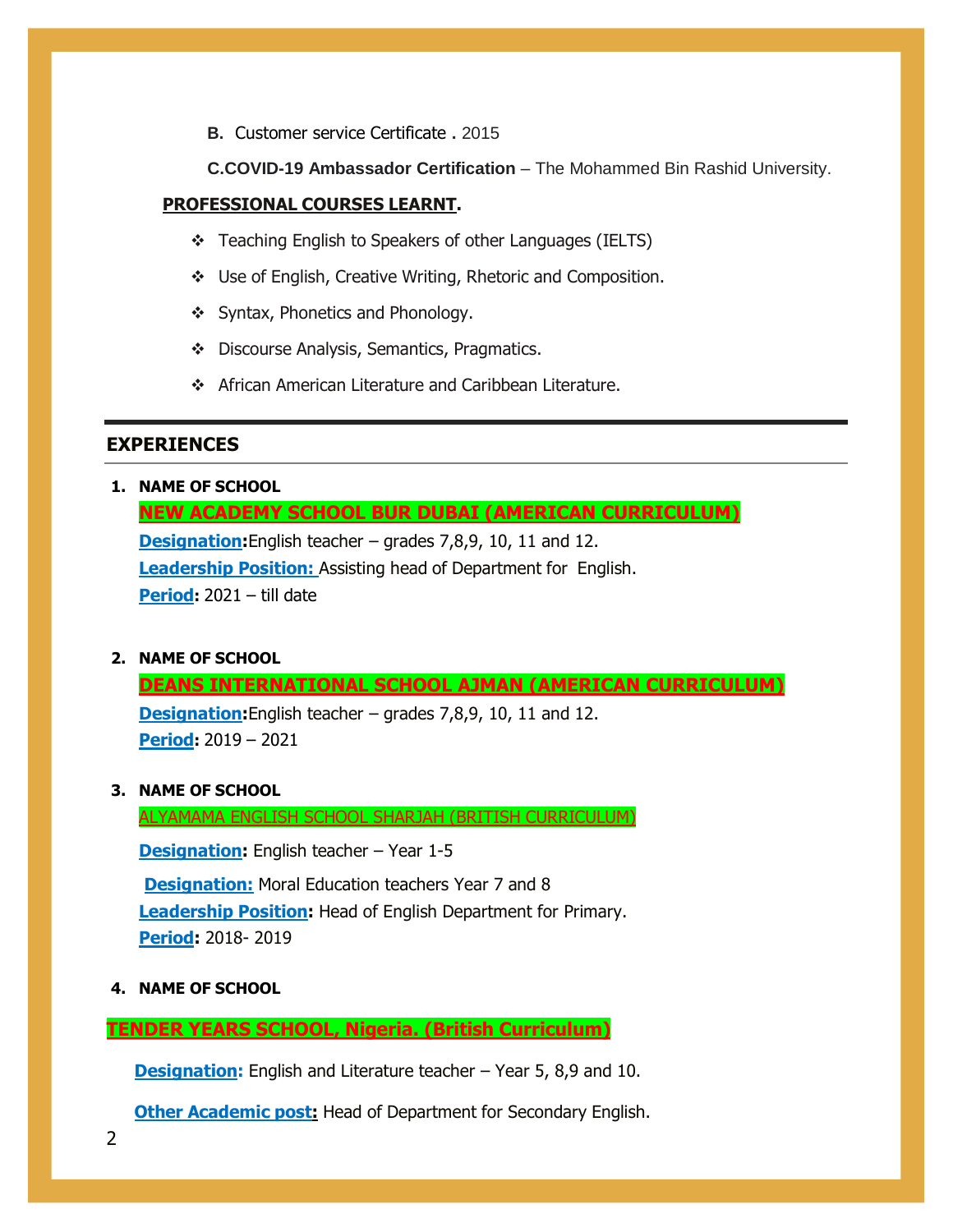**B.** Customer service Certificate **.** 2015

**C.COVID-19 Ambassador Certification** – The Mohammed Bin Rashid University.

## **PROFESSIONAL COURSES LEARNT.**

- Teaching English to Speakers of other Languages (IELTS)
- Use of English, Creative Writing, Rhetoric and Composition.
- ❖ Syntax, Phonetics and Phonology.
- Discourse Analysis, Semantics, Pragmatics.
- ◆ African American Literature and Caribbean Literature.

## **EXPERIENCES**

**1. NAME OF SCHOOL**

**NEW ACADEMY SCHOOL BUR DUBAI (AMERICAN CURRICULUM) Designation:**English teacher – grades 7,8,9, 10, 11 and 12. **Leadership Position:** Assisting head of Department for English. **Period:** 2021 – till date

**2. NAME OF SCHOOL**

**DEANS INTERNATIONAL SCHOOL AJMAN (AMERICAN CURRICULUM)**

**Designation:**English teacher – grades 7,8,9, 10, 11 and 12. **Period:** 2019 – 2021

**3. NAME OF SCHOOL**

ALYAMAMA ENGLISH SCHOOL SHARJAH (BRITISH CURRICULUM)

**Designation:** English teacher – Year 1-5 **Designation:** Moral Education teachers Year 7 and 8 **Leadership Position:** Head of English Department for Primary. **Period:** 2018- 2019

**4. NAME OF SCHOOL**

**TENDER YEARS SCHOOL, Nigeria. (British Curriculum)**

**Designation:** English and Literature teacher – Year 5, 8,9 and 10.

**Other Academic post:** Head of Department for Secondary English.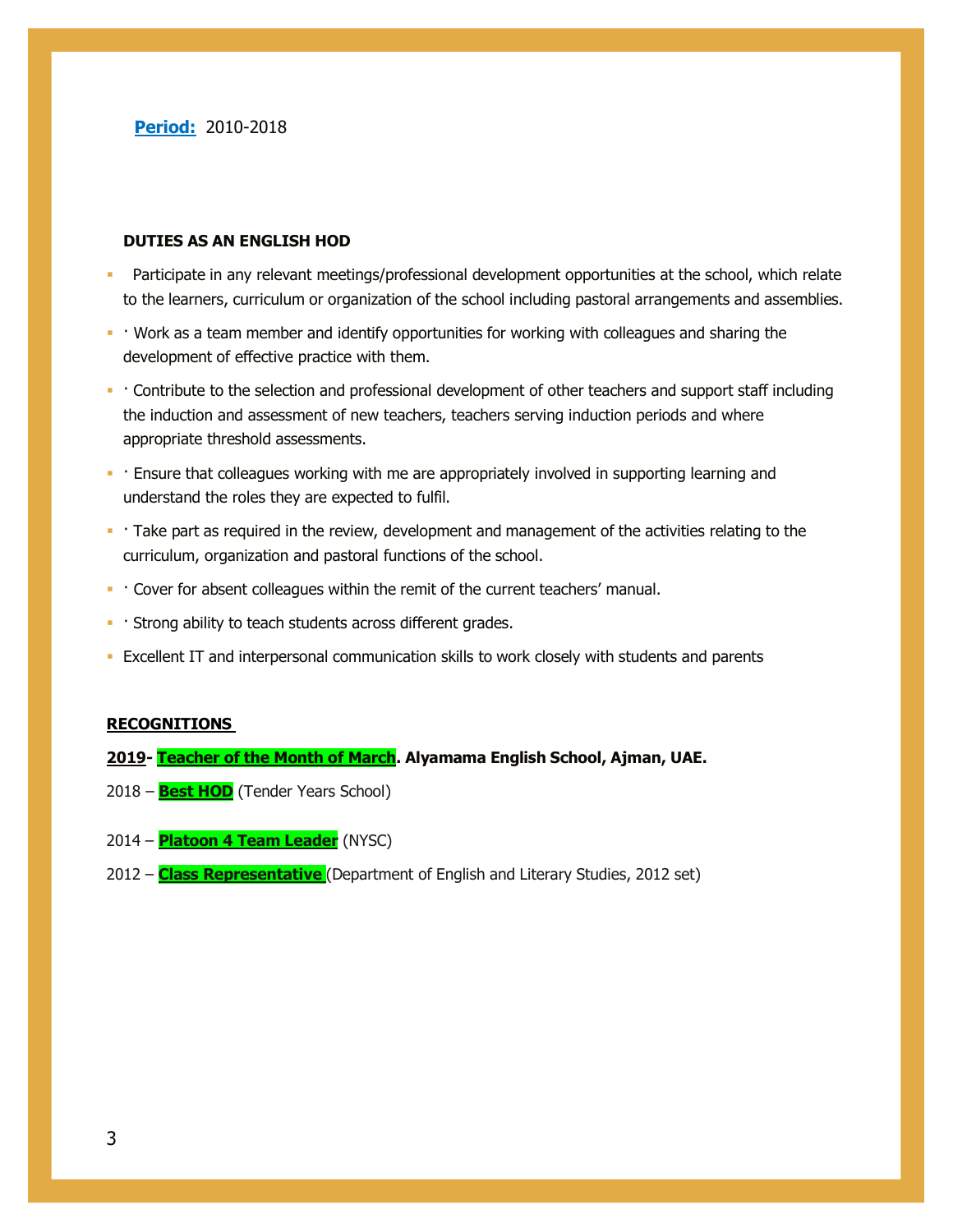#### **DUTIES AS AN ENGLISH HOD**

- Participate in any relevant meetings/professional development opportunities at the school, which relate to the learners, curriculum or organization of the school including pastoral arrangements and assemblies.
- Work as a team member and identify opportunities for working with colleagues and sharing the development of effective practice with them.
- Contribute to the selection and professional development of other teachers and support staff including the induction and assessment of new teachers, teachers serving induction periods and where appropriate threshold assessments.
- Ensure that colleagues working with me are appropriately involved in supporting learning and understand the roles they are expected to fulfil.
- Take part as required in the review, development and management of the activities relating to the curriculum, organization and pastoral functions of the school.
- Cover for absent colleagues within the remit of the current teachers' manual.
- Strong ability to teach students across different grades.
- Excellent IT and interpersonal communication skills to work closely with students and parents

#### **RECOGNITIONS**

#### **2019- Teacher of the Month of March. Alyamama English School, Ajman, UAE.**

- 2018 **Best HOD** (Tender Years School)
- 2014 **Platoon 4 Team Leader** (NYSC)
- 2012 **Class Representative** (Department of English and Literary Studies, 2012 set)